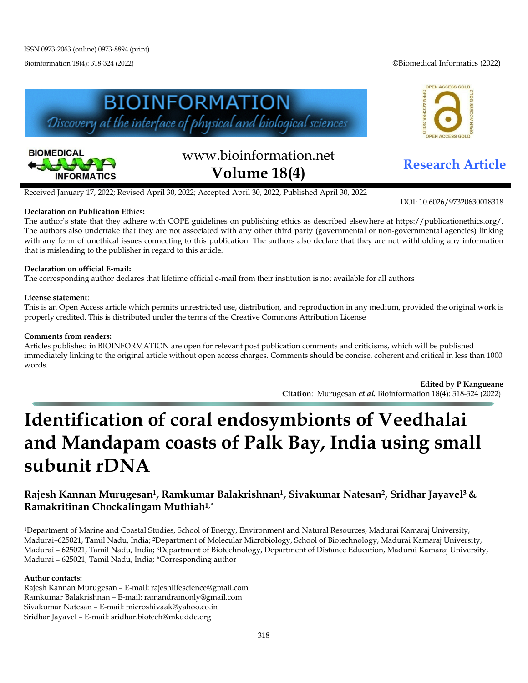Bioinformation 18(4): 318-324 (2022) ©Biomedical Informatics (2022)







# www.bioinformation.net **Research Article Volume 18(4)**

Received January 17, 2022; Revised April 30, 2022; Accepted April 30, 2022, Published April 30, 2022

### **Declaration on Publication Ethics:**

The author's state that they adhere with COPE guidelines on publishing ethics as described elsewhere at https://publicationethics.org/. The authors also undertake that they are not associated with any other third party (governmental or non-governmental agencies) linking with any form of unethical issues connecting to this publication. The authors also declare that they are not withholding any information that is misleading to the publisher in regard to this article.

### **Declaration on official E-mail:**

The corresponding author declares that lifetime official e-mail from their institution is not available for all authors

#### **License statement**:

This is an Open Access article which permits unrestricted use, distribution, and reproduction in any medium, provided the original work is properly credited. This is distributed under the terms of the Creative Commons Attribution License

#### **Comments from readers:**

Articles published in BIOINFORMATION are open for relevant post publication comments and criticisms, which will be published immediately linking to the original article without open access charges. Comments should be concise, coherent and critical in less than 1000 words.

> **Edited by P Kangueane Citation**: Murugesan *et al.* Bioinformation 18(4): 318-324 (2022)

# **Identification of coral endosymbionts of Veedhalai and Mandapam coasts of Palk Bay, India using small subunit rDNA**

## **Rajesh Kannan Murugesan1, Ramkumar Balakrishnan1, Sivakumar Natesan2, Sridhar Jayavel3 & Ramakritinan Chockalingam Muthiah1,\***

1Department of Marine and Coastal Studies, School of Energy, Environment and Natural Resources, Madurai Kamaraj University, Madurai–625021, Tamil Nadu, India; 2Department of Molecular Microbiology, School of Biotechnology, Madurai Kamaraj University, Madurai – 625021, Tamil Nadu, India; 3Department of Biotechnology, Department of Distance Education, Madurai Kamaraj University, Madurai – 625021, Tamil Nadu, India; \*Corresponding author

#### **Author contacts:**

Rajesh Kannan Murugesan – E-mail: rajeshlifescience@gmail.com Ramkumar Balakrishnan – E-mail: ramandramonly@gmail.com Sivakumar Natesan – E-mail: microshivaak@yahoo.co.in Sridhar Jayavel – E-mail: sridhar.biotech@mkudde.org

DOI: 10.6026/97320630018318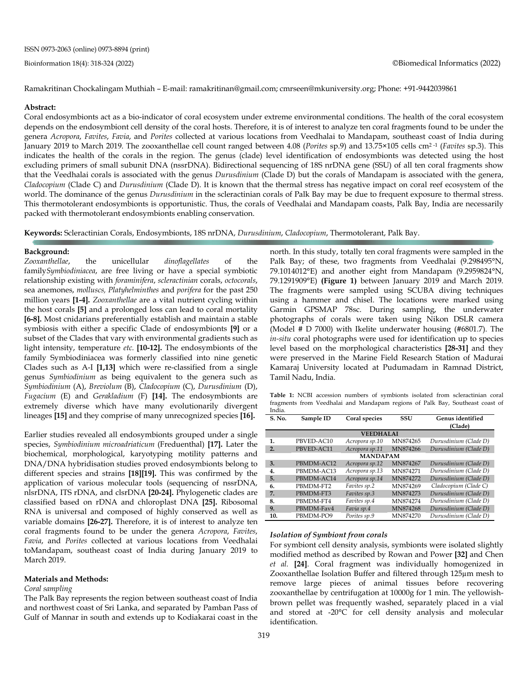Ramakritinan Chockalingam Muthiah – E-mail: ramakritinan@gmail.com; cmrseen@mkuniversity.org; Phone: +91-9442039861

#### **Abstract:**

Coral endosymbionts act as a bio-indicator of coral ecosystem under extreme environmental conditions. The health of the coral ecosystem depends on the endosymbiont cell density of the coral hosts. Therefore, it is of interest to analyze ten coral fragments found to be under the genera *Acropora*, *Favites*, *Favia*, and *Porites* collected at various locations from Veedhalai to Mandapam, southeast coast of India during January 2019 to March 2019. The zooxanthellae cell count ranged between 4.08 (*Porites* sp.9) and 13.75×105 cells cm2 -1 (*Favites* sp.3). This indicates the health of the corals in the region. The genus (clade) level identification of endosymbionts was detected using the host excluding primers of small subunit DNA (nssrDNA). Bidirectional sequencing of 18S nrDNA gene (SSU) of all ten coral fragments show that the Veedhalai corals is associated with the genus *Durusdinium* (Clade D) but the corals of Mandapam is associated with the genera, *Cladocopium* (Clade C) and *Durusdinium* (Clade D). It is known that the thermal stress has negative impact on coral reef ecosystem of the world. The dominance of the genus *Durusdinium* in the scleractinian corals of Palk Bay may be due to frequent exposure to thermal stress. This thermotolerant endosymbionts is opportunistic. Thus, the corals of Veedhalai and Mandapam coasts, Palk Bay, India are necessarily packed with thermotolerant endosymbionts enabling conservation.

**Keywords:** Scleractinian Corals, Endosymbionts, 18S nrDNA, *Durusdinium*, *Cladocopium*, Thermotolerant, Palk Bay.

#### **Background:**

*Zooxanthellae*, the unicellular *dinoflagellates* of the family*Symbiodiniacea*, are free living or have a special symbiotic relationship existing with *foraminifera*, *scleractinian* corals, *octocorals*, sea anemones, *molluscs, Platyhelminthes* and *porifera* for the past 250 million years **[1-4].** *Zooxanthellae* are a vital nutrient cycling within the host corals **[5]** and a prolonged loss can lead to coral mortality **[6-8].** Most cnidarians preferentially establish and maintain a stable symbiosis with either a specific Clade of endosymbionts **[9]** or a subset of the Clades that vary with environmental gradients such as light intensity, temperature *etc.* **[10-12].** The endosymbionts of the family Symbiodiniacea was formerly classified into nine genetic Clades such as A-I **[1,13]** which were re-classified from a single genus *Symbiodinium* as being equivalent to the genera such as *Symbiodinium* (A), *Breviolum* (B), *Cladocopium* (C), *Durusdinium* (D), *Fugacium* (E) and *Gerakladium* (F) **[14].** The endosymbionts are extremely diverse which have many evolutionarily divergent lineages **[15]** and they comprise of many unrecognized species **[16].**

Earlier studies revealed all endosymbionts grouped under a single species, *Symbiodinium microadriaticum* (Freduenthal) **[17].** Later the biochemical, morphological, karyotyping motility patterns and DNA/DNA hybridisation studies proved endosymbionts belong to different species and strains **[18][19].** This was confirmed by the application of various molecular tools (sequencing of nssrDNA, nlsrDNA, ITS rDNA, and clsrDNA **[20-24].** Phylogenetic clades are classified based on rDNA and chloroplast DNA **[25].** Ribosomal RNA is universal and composed of highly conserved as well as variable domains **[26-27].** Therefore, it is of interest to analyze ten coral fragments found to be under the genera *Acropora*, *Favites*, *Favia*, and *Porites* collected at various locations from Veedhalai toMandapam, southeast coast of India during January 2019 to March 2019.

#### **Materials and Methods:**

#### *Coral sampling*

The Palk Bay represents the region between southeast coast of India and northwest coast of Sri Lanka, and separated by Pamban Pass of Gulf of Mannar in south and extends up to Kodiakarai coast in the north. In this study, totally ten coral fragments were sampled in the Palk Bay; of these, two fragments from Veedhalai (9.298495°N, 79.1014012°E) and another eight from Mandapam (9.2959824°N, 79.1291909°E) **(Figure 1)** between January 2019 and March 2019. The fragments were sampled using SCUBA diving techniques using a hammer and chisel. The locations were marked using Garmin GPSMAP 78sc. During sampling, the underwater photographs of corals were taken using Nikon DSLR camera (Model # D 7000) with Ikelite underwater housing (#6801.7). The *in-situ* coral photographs were used for identification up to species level based on the morphological characteristics **[28-31]** and they were preserved in the Marine Field Research Station of Madurai Kamaraj University located at Pudumadam in Ramnad District, Tamil Nadu, India.

**Table 1:** NCBI accession numbers of symbionts isolated from scleractinian coral fragments from Veedhalai and Mandapam regions of Palk Bay, Southeast coast of India.

| S. No.           | Sample ID  | Coral species  | SSU      | Genus identified      |
|------------------|------------|----------------|----------|-----------------------|
|                  |            |                |          | (Clade)               |
| <b>VEEDHALAI</b> |            |                |          |                       |
| 1.               | PBVED-AC10 | Acropora sp.10 | MN874265 | Durusdinium (Clade D) |
| 2.               | PBVED-AC11 | Acropora sp.11 | MN874266 | Durusdinium (Clade D) |
| <b>MANDAPAM</b>  |            |                |          |                       |
| 3.               | PBMDM-AC12 | Acropora sp.12 | MN874267 | Durusdinium (Clade D) |
| 4.               | PBMDM-AC13 | Acropora sp.13 | MN874271 | Durusdinium (Clade D) |
| 5.               | PBMDM-AC14 | Acropora sp.14 | MN874272 | Durusdinium (Clade D) |
| 6.               | PBMDM-FT2  | Favites sp.2   | MN874269 | Cladocopium (Clade C) |
| 7.               | PBMDM-FT3  | Favites sp.3   | MN874273 | Durusdinium (Clade D) |
| 8.               | PBMDM-FT4  | Favites sp.4   | MN874274 | Durusdinium (Clade D) |
| 9.               | PBMDM-Fav4 | Favia sp.4     | MN874268 | Durusdinium (Clade D) |
| 10.              | PBMDM-PO9  | Porites sp.9   | MN874270 | Durusdinium (Clade D) |

#### *Isolation of Symbiont from corals*

For symbiont cell density analysis, symbionts were isolated slightly modified method as described by Rowan and Power **[32]** and Chen *et al.* **[24]**. Coral fragment was individually homogenized in Zooxanthellae Isolation Buffer and filtered through 125µm mesh to remove large pieces of animal tissues before recovering zooxanthellae by centrifugation at 10000g for 1 min. The yellowishbrown pellet was frequently washed, separately placed in a vial and stored at -20°C for cell density analysis and molecular identification.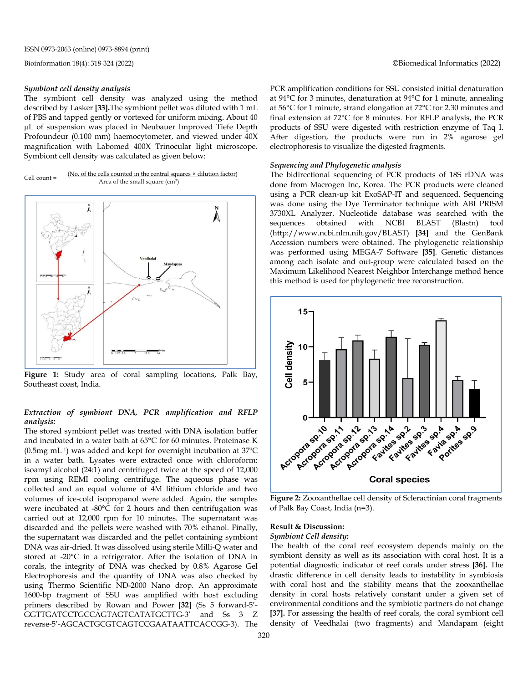#### *Symbiont cell density analysis*

The symbiont cell density was analyzed using the method described by Lasker **[33].**The symbiont pellet was diluted with 1 mL of PBS and tapped gently or vortexed for uniform mixing. About 40 µL of suspension was placed in Neubauer Improved Tiefe Depth Profoundeur (0.100 mm) haemocytometer, and viewed under 40X magnification with Labomed 400X Trinocular light microscope. Symbiont cell density was calculated as given below:

Cell count =  $(No. of the cells counted in the central squares × dilution factor)$ Area of the small square (cm2)



**Figure 1:** Study area of coral sampling locations, Palk Bay, Southeast coast, India.

#### *Extraction of symbiont DNA, PCR amplification and RFLP analysis:*

The stored symbiont pellet was treated with DNA isolation buffer and incubated in a water bath at 65°C for 60 minutes. Proteinase K (0.5mg mL-1) was added and kept for overnight incubation at 37ºC in a water bath. Lysates were extracted once with chloroform: isoamyl alcohol (24:1) and centrifuged twice at the speed of 12,000 rpm using REMI cooling centrifuge. The aqueous phase was collected and an equal volume of 4M lithium chloride and two volumes of ice-cold isopropanol were added. Again, the samples were incubated at -80°C for 2 hours and then centrifugation was carried out at 12,000 rpm for 10 minutes. The supernatant was discarded and the pellets were washed with 70% ethanol. Finally, the supernatant was discarded and the pellet containing symbiont DNA was air-dried. It was dissolved using sterile Milli-Q water and stored at -20°C in a refrigerator. After the isolation of DNA in corals, the integrity of DNA was checked by 0.8% Agarose Gel Electrophoresis and the quantity of DNA was also checked by using Thermo Scientific ND-2000 Nano drop. An approximate 1600-bp fragment of SSU was amplified with host excluding primers described by Rowan and Power **[32]** (Ss 5 forward-5'- GGTTGATCCTGCCAGTAGTCATATGCTTG-3' and Ss 3 Z reverse-5'-AGCACTGCGTCAGTCCGAATAATTCACCGG-3). The PCR amplification conditions for SSU consisted initial denaturation at 94°C for 3 minutes, denaturation at 94°C for 1 minute, annealing at 56°C for 1 minute, strand elongation at 72°C for 2.30 minutes and final extension at 72°C for 8 minutes. For RFLP analysis, the PCR products of SSU were digested with restriction enzyme of Taq I. After digestion, the products were run in 2% agarose gel electrophoresis to visualize the digested fragments.

#### *Sequencing and Phylogenetic analysis*

The bidirectional sequencing of PCR products of 18S rDNA was done from Macrogen Inc, Korea. The PCR products were cleaned using a PCR clean-up kit ExoSAP-IT and sequenced. Sequencing was done using the Dye Terminator technique with ABI PRISM 3730XL Analyzer. Nucleotide database was searched with the sequences obtained with NCBI BLAST (Blastn) tool (http://www.ncbi.nlm.nih.gov/BLAST) **[34]** and the GenBank Accession numbers were obtained. The phylogenetic relationship was performed using MEGA-7 Software **[35]**. Genetic distances among each isolate and out-group were calculated based on the Maximum Likelihood Nearest Neighbor Interchange method hence this method is used for phylogenetic tree reconstruction.



**Figure 2:** Zooxanthellae cell density of Scleractinian coral fragments of Palk Bay Coast, India (n=3).

#### **Result & Discussion:**

#### *Symbiont Cell density:*

The health of the coral reef ecosystem depends mainly on the symbiont density as well as its association with coral host. It is a potential diagnostic indicator of reef corals under stress **[36].** The drastic difference in cell density leads to instability in symbiosis with coral host and the stability means that the zooxanthellae density in coral hosts relatively constant under a given set of environmental conditions and the symbiotic partners do not change **[37].** For assessing the health of reef corals, the coral symbiont cell density of Veedhalai (two fragments) and Mandapam (eight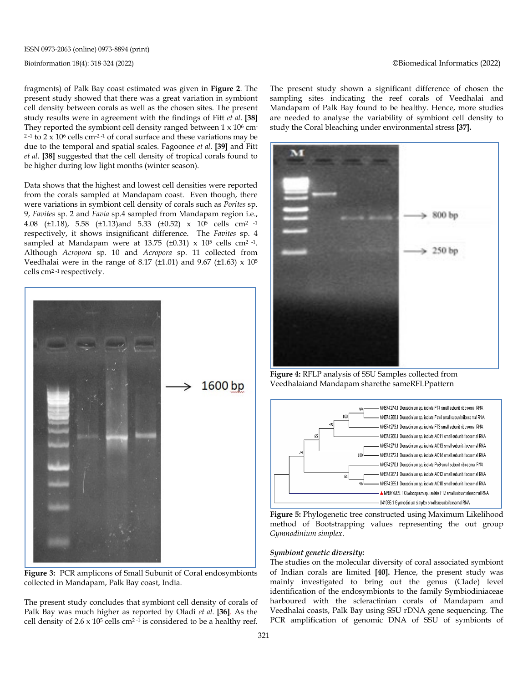fragments) of Palk Bay coast estimated was given in **Figure 2**. The present study showed that there was a great variation in symbiont cell density between corals as well as the chosen sites. The present study results were in agreement with the findings of Fitt *et al.* **[38]** They reported the symbiont cell density ranged between  $1 \times 10^6$  cm- $2 - 1$  to  $2 \times 10^6$  cells cm<sup>-2-1</sup> of coral surface and these variations may be due to the temporal and spatial scales. Fagoonee *et al*. **[39]** and Fitt *et al*. **[38]** suggested that the cell density of tropical corals found to be higher during low light months (winter season).

Data shows that the highest and lowest cell densities were reported from the corals sampled at Mandapam coast. Even though, there were variations in symbiont cell density of corals such as *Porites* sp. 9, *Favites* sp. 2 and *Favia* sp.4 sampled from Mandapam region i.e., 4.08 (±1.18), 5.58 (±1.13)and 5.33 (±0.52) x 105 cells cm2 -1 respectively, it shows insignificant difference. The *Favites* sp. 4 sampled at Mandapam were at 13.75 ( $\pm$ 0.31) x 10<sup>5</sup> cells cm<sup>2-1</sup>. Although *Acropora* sp. 10 and *Acropora* sp. 11 collected from Veedhalai were in the range of 8.17 ( $\pm$ 1.01) and 9.67 ( $\pm$ 1.63) x 10<sup>5</sup> cells cm2 -1 respectively.



**Figure 3:** PCR amplicons of Small Subunit of Coral endosymbionts collected in Mandapam, Palk Bay coast, India.

The present study concludes that symbiont cell density of corals of Palk Bay was much higher as reported by Oladi *et al.* **[36]**. As the cell density of  $2.6 \times 10^5$  cells cm<sup>2-1</sup> is considered to be a healthy reef. The present study shown a significant difference of chosen the sampling sites indicating the reef corals of Veedhalai and Mandapam of Palk Bay found to be healthy. Hence, more studies are needed to analyse the variability of symbiont cell density to study the Coral bleaching under environmental stress **[37].**



**Figure 4:** RFLP analysis of SSU Samples collected from Veedhalaiand Mandapam sharethe sameRFLPpattern



**Figure 5:** Phylogenetic tree constructed using Maximum Likelihood method of Bootstrapping values representing the out group *Gymnodinium simplex*.

#### *Symbiont genetic diversity:*

The studies on the molecular diversity of coral associated symbiont of Indian corals are limited **[40].** Hence, the present study was mainly investigated to bring out the genus (Clade) level identification of the endosymbionts to the family Symbiodiniaceae harboured with the scleractinian corals of Mandapam and Veedhalai coasts, Palk Bay using SSU rDNA gene sequencing. The PCR amplification of genomic DNA of SSU of symbionts of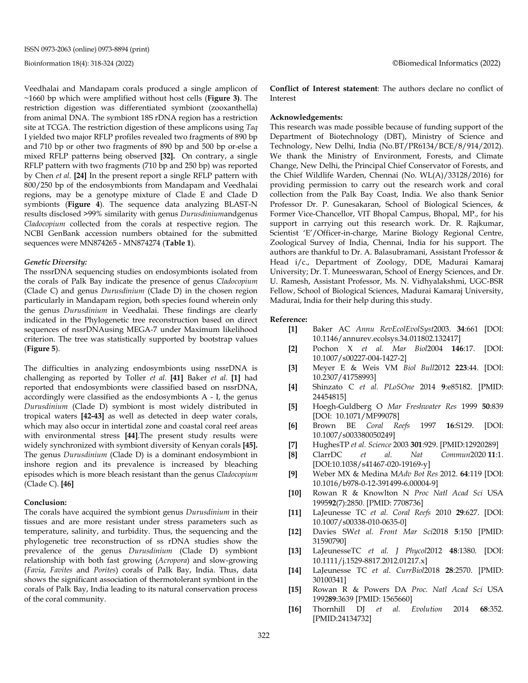Veedhalai and Mandapam corals produced a single amplicon of ~1660 bp which were amplified without host cells (**Figure 3)**. The restriction digestion was differentiated symbiont (zooxanthella) from animal DNA. The symbiont 18S rDNA region has a restriction site at TCGA. The restriction digestion of these amplicons using *Taq* I yielded two major RFLP profiles revealed two fragments of 890 bp and 710 bp or other two fragments of 890 bp and 500 bp or-else a mixed RFLP patterns being observed **[32].** On contrary, a single RFLP pattern with two fragments (710 bp and 250 bp) was reported by Chen *et al.* **[24]** In the present report a single RFLP pattern with 800/250 bp of the endosymbionts from Mandapam and Veedhalai regions, may be a genotype mixture of Clade E and Clade D symbionts (**Figure 4**). The sequence data analyzing BLAST-N results disclosed >99% similarity with genus *Durusdinium*andgenus *Cladocopium* collected from the corals at respective region. The NCBI GenBank accession numbers obtained for the submitted sequences were MN874265 - MN874274 (**Table 1**).

#### *Genetic Diversity:*

The nssrDNA sequencing studies on endosymbionts isolated from the corals of Palk Bay indicate the presence of genus *Cladocopium* (Clade C) and genus *Durusdinium* (Clade D) in the chosen region particularly in Mandapam region, both species found wherein only the genus *Durusdinium* in Veedhalai. These findings are clearly indicated in the Phylogenetic tree reconstruction based on direct sequences of nssrDNAusing MEGA-7 under Maximum likelihood criterion. The tree was statistically supported by bootstrap values (**Figure 5**).

The difficulties in analyzing endosymbionts using nssrDNA is challenging as reported by Toller *et al.* **[41]** Baker *et al.* **[1]** had reported that endosymbionts were classified based on nssrDNA, accordingly were classified as the endosymbionts A - I, the genus *Durusdinium* (Clade D) symbiont is most widely distributed in tropical waters **[42-43]** as well as detected in deep water corals, which may also occur in intertidal zone and coastal coral reef areas with environmental stress **[44]**.The present study results were widely synchronized with symbiont diversity of Kenyan corals **[45].**  The genus *Durusdinium* (Clade D) is a dominant endosymbiont in inshore region and its prevalence is increased by bleaching episodes which is more bleach resistant than the genus *Cladocopium* (Clade C). **[46]**

#### **Conclusion:**

The corals have acquired the symbiont genus *Durusdinium* in their tissues and are more resistant under stress parameters such as temperature, salinity, and turbidity. Thus, the sequencing and the phylogenetic tree reconstruction of ss rDNA studies show the prevalence of the genus *Durusdinium* (Clade D) symbiont relationship with both fast growing (*Acropora*) and slow-growing (*Favia*, *Favites* and *Porites*) corals of Palk Bay, India. Thus, data shows the significant association of thermotolerant symbiont in the corals of Palk Bay, India leading to its natural conservation process of the coral community.

**Conflict of Interest statement**: The authors declare no conflict of Interest

#### **Acknowledgements:**

This research was made possible because of funding support of the Department of Biotechnology (DBT), Ministry of Science and Technology, New Delhi, India (No.BT/PR6134/BCE/8/914/2012). We thank the Ministry of Environment, Forests, and Climate Change, New Delhi, the Principal Chief Conservator of Forests, and the Chief Wildlife Warden, Chennai (No. WL(A)/33128/2016) for providing permission to carry out the research work and coral collection from the Palk Bay Coast, India. We also thank Senior Professor Dr. P. Gunesakaran, School of Biological Sciences, & Former Vice-Chancellor, VIT Bhopal Campus, Bhopal, MP., for his support in carrying out this research work. Dr. R. Rajkumar, Scientist 'E'/Officer-in-charge, Marine Biology Regional Centre, Zoological Survey of India, Chennai, India for his support. The authors are thankful to Dr. A. Balasubramani, Assistant Professor & Head i/c., Department of Zoology, DDE, Madurai Kamaraj University; Dr. T. Muneeswaran, School of Energy Sciences, and Dr. U. Ramesh, Assistant Professor, Ms. N. Vidhyalakshmi, UGC-BSR Fellow, School of Biological Sciences, Madurai Kamaraj University, Madurai, India for their help during this study.

#### **Reference:**

- **[1]** Baker AC *Annu RevEcolEvolSyst*2003. **34**:661 [DOI: 10.1146/annurev.ecolsys.34.011802.132417]
- **[2]** Pochon X *et al. Mar Biol*2004 **146**:17. [DOI: 10.1007/s00227-004-1427-2]
- **[3]** Meyer E & Weis VM *Biol Bull*2012 **223**:44. [DOI: 10.2307/41758993]
- **[4]** Shinzato C *et al. PLoSOne* 2014 **9**:e85182. [PMID: 24454815]
- **[5]** Hoegh-Guldberg O *Mar Freshwater Res* 1999 **50**:839 [DOI: 10.1071/MF99078]
- **[6]** Brown BE *Coral Reefs* 1997 **16**:S129. [DOI: 10.1007/s003380050249]
- **[7]** HughesTP *et al. Science* 2003 **301**:929. [PMID:12920289]
- **[8]** ClarrDC *et al. Nat Commun*2020 **11**:1. [DOI:10.1038/s41467-020-19169-y]
- **[9]** Weber MX & Medina M*Adv Bot Res* 2012. **64**:119 [DOI: 10.1016/b978-0-12-391499-6.00004-9]
- **[10]** Rowan R & Knowlton N *Proc Natl Acad Sci* USA 1995**92**(7):2850. [PMID: 7708736]
- **[11]** LaJeunesse TC *et al. Coral Reefs* 2010 **29**:627. [DOI: 10.1007/s00338-010-0635-0]
- **[12]** Davies SW*et al. Front Mar Sci*2018 **5**:150 [PMID: 31590790]
- **[13]** LaJeunesseTC *et al. J Phycol*2012 **48**:1380. [DOI: 10.1111/j.1529-8817.2012.01217.x]
- **[14]** LaJeunesse TC *et al. CurrBiol*2018 **28**:2570. [PMID: 30100341]
- **[15]** Rowan R & Powers DA *Proc. Natl Acad Sci* USA 1992**89**:3639 [PMID: 1565660]
- **[16]** Thornhill DJ *et al. Evolution* 2014 **68**:352. [PMID:24134732]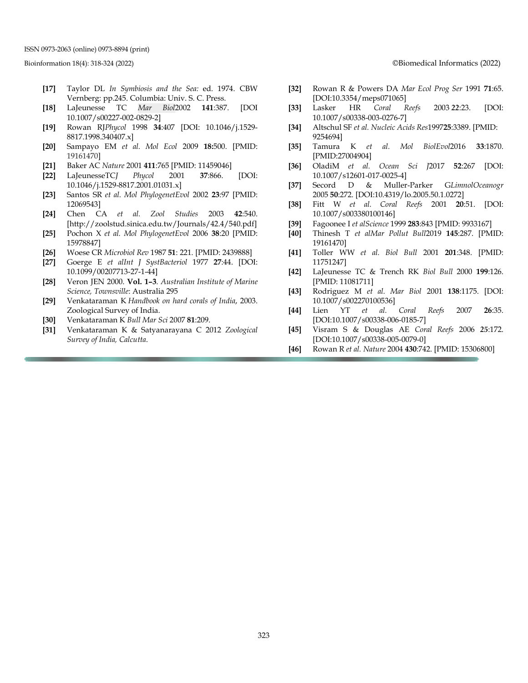ISSN 0973-2063 (online) 0973-8894 (print)

- **[17]** Taylor DL *In Symbiosis and the Sea:* ed. 1974. CBW Vernberg: pp.245. Columbia: Univ. S. C. Press.
- **[18]** LaJeunesse TC *Mar Biol*2002 **141**:387. [DOI 10.1007/s00227-002-0829-2]
- **[19]** Rowan RJ*Phycol* 1998 **34**:407 [DOI: 10.1046/j.1529- 8817.1998.340407.x]
- **[20]** Sampayo EM *et al. Mol Ecol* 2009 **18:**500. [PMID: 19161470]
- **[21]** Baker AC *Nature* 2001 **411**:765 [PMID: 11459046]
- **[22]** LaJeunesseTC*J Phycol* 2001 **37**:866. [DOI: 10.1046/j.1529-8817.2001.01031.x]
- **[23]** Santos SR *et al. Mol PhylogenetEvol* 2002 **23**:97 [PMID: 12069543]
- **[24]** Chen CA *et al. Zool Studies* 2003 **42**:540. [http://zoolstud.sinica.edu.tw/Journals/42.4/540.pdf]
- **[25]** Pochon X *et al. Mol PhylogenetEvol* 2006 **38**:20 [PMID: 15978847]
- **[26]** Woese CR *Microbiol Rev* 1987 **51**: 221. [PMID: 2439888]
- **[27]** Goerge E *et alInt J SystBacteriol* 1977 **27**:44. [DOI: 10.1099/00207713-27-1-44]
- **[28]** Veron JEN 2000. **Vol. 1–3**. *Australian Institute of Marine Science, Townsville*: Australia 295
- **[29]** Venkataraman K *Handbook on hard corals of India*, 2003. Zoological Survey of India.
- **[30]** Venkataraman K *Bull Mar Sci* 2007 **81**:209.
- **[31]** Venkataraman K & Satyanarayana C 2012 *Zoological Survey of India, Calcutta*.

Bioinformation 18(4): 318-324 (2022) ©Biomedical Informatics (2022)

- **[32]** Rowan R & Powers DA *Mar Ecol Prog Ser* 1991 **71**:65. [DOI:10.3354/meps071065]
- **[33]** Lasker HR *Coral Reefs* 2003 *22*:23. [DOI: 10.1007/s00338-003-0276-7]
- **[34]** Altschul SF *et al. Nucleic Acids Res*1997**25**:3389. [PMID: 9254694]
- **[35]** Tamura K *et al. Mol BiolEvol*2016 **33**:1870. [PMID:27004904]
- **[36]** OladiM *et al. Ocean Sci J*2017 **52**:267 [DOI: 10.1007/s12601-017-0025-4]
- **[37]** Secord D & Muller‐Parker G*LimnolOceanogr* 2005 **50**:272. [DOI:10.4319/lo.2005.50.1.0272]
- **[38]** Fitt W *et al. Coral Reefs* 2001 **20**:51. [DOI: 10.1007/s003380100146]
- **[39]** Fagoonee I *et alScience* 1999 **283**:843 [PMID: 9933167]
- **[40]** Thinesh T *et alMar Pollut Bull*2019 **145**:287. [PMID: 19161470]
- **[41]** Toller WW *et al. Biol Bull* 2001 **201**:348. [PMID: 11751247]
- **[42]** LaJeunesse TC & Trench RK *Biol Bull* 2000 **199**:126. [PMID: 11081711]
- **[43]** Rodriguez M *et al. Mar Biol* 2001 **138**:1175. [DOI: 10.1007/s002270100536]
- **[44]** Lien YT *et al. Coral Reefs* 2007 **26**:35. [DOI:10.1007/s00338-006-0185-7]
- **[45]** Visram S & Douglas AE *Coral Reefs* 2006 *25*:172. [DOI:10.1007/s00338-005-0079-0]
- **[46]** Rowan R *et al. Nature* 2004 **430**:742. [PMID: 15306800]